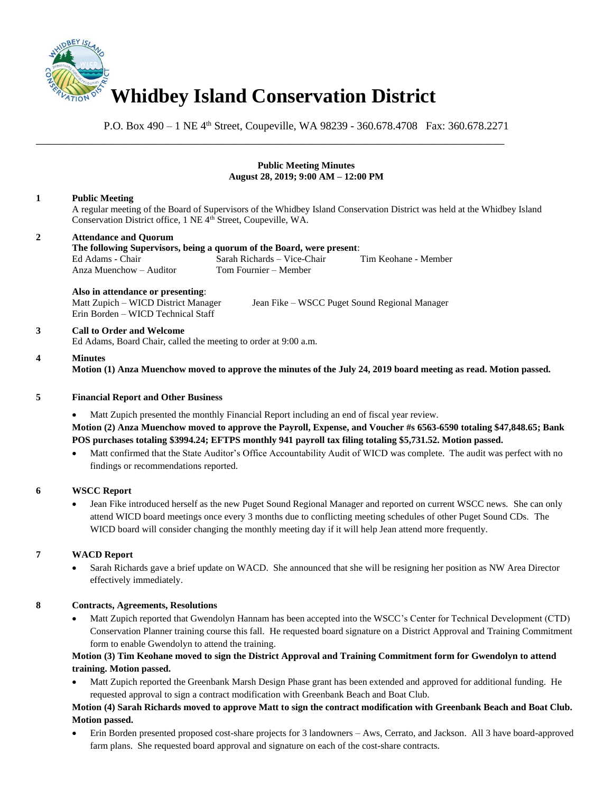

P.O. Box 490 – 1 NE 4<sup>th</sup> Street, Coupeville, WA 98239 - 360.678.4708 Fax: 360.678.2271

### **Public Meeting Minutes August 28, 2019; 9:00 AM – 12:00 PM**

### **1 Public Meeting**

A regular meeting of the Board of Supervisors of the Whidbey Island Conservation District was held at the Whidbey Island Conservation District office, 1 NE 4<sup>th</sup> Street, Coupeville, WA.

# **2 Attendance and Quorum**

#### **The following Supervisors, being a quorum of the Board, were present**: Ed Adams - Chair Sarah Richards – Vice-Chair Tim Keohane - Member Anza Muenchow – Auditor

\_\_\_\_\_\_\_\_\_\_\_\_\_\_\_\_\_\_\_\_\_\_\_\_\_\_\_\_\_\_\_\_\_\_\_\_\_\_\_\_\_\_\_\_\_\_\_\_\_\_\_\_\_\_\_\_\_\_\_\_\_\_\_\_\_\_\_\_\_\_\_\_\_\_\_\_\_\_

# **Also in attendance or presenting**:

Erin Borden – WICD Technical Staff

Matt Zupich – WICD District Manager Jean Fike – WSCC Puget Sound Regional Manager

# **3 Call to Order and Welcome**

Ed Adams, Board Chair, called the meeting to order at 9:00 a.m.

### **4 Minutes**

**Motion (1) Anza Muenchow moved to approve the minutes of the July 24, 2019 board meeting as read. Motion passed.** 

# **5 Financial Report and Other Business**

• Matt Zupich presented the monthly Financial Report including an end of fiscal year review.

**Motion (2) Anza Muenchow moved to approve the Payroll, Expense, and Voucher #s 6563-6590 totaling \$47,848.65; Bank POS purchases totaling \$3994.24; EFTPS monthly 941 payroll tax filing totaling \$5,731.52. Motion passed.** 

Matt confirmed that the State Auditor's Office Accountability Audit of WICD was complete. The audit was perfect with no findings or recommendations reported.

#### **6 WSCC Report**

• Jean Fike introduced herself as the new Puget Sound Regional Manager and reported on current WSCC news. She can only attend WICD board meetings once every 3 months due to conflicting meeting schedules of other Puget Sound CDs. The WICD board will consider changing the monthly meeting day if it will help Jean attend more frequently.

# **7 WACD Report**

• Sarah Richards gave a brief update on WACD. She announced that she will be resigning her position as NW Area Director effectively immediately.

# **8 Contracts, Agreements, Resolutions**

• Matt Zupich reported that Gwendolyn Hannam has been accepted into the WSCC's Center for Technical Development (CTD) Conservation Planner training course this fall. He requested board signature on a District Approval and Training Commitment form to enable Gwendolyn to attend the training.

# **Motion (3) Tim Keohane moved to sign the District Approval and Training Commitment form for Gwendolyn to attend training. Motion passed.**

• Matt Zupich reported the Greenbank Marsh Design Phase grant has been extended and approved for additional funding. He requested approval to sign a contract modification with Greenbank Beach and Boat Club.

# **Motion (4) Sarah Richards moved to approve Matt to sign the contract modification with Greenbank Beach and Boat Club. Motion passed.**

• Erin Borden presented proposed cost-share projects for 3 landowners – Aws, Cerrato, and Jackson. All 3 have board-approved farm plans. She requested board approval and signature on each of the cost-share contracts.